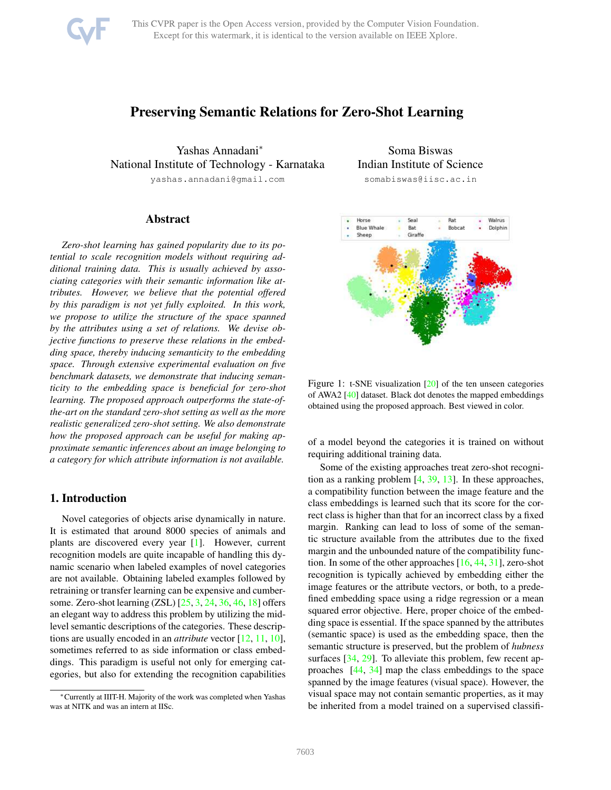

# Preserving Semantic Relations for Zero-Shot Learning

Yashas Annadani<sup>∗</sup> National Institute of Technology - Karnataka yashas.annadani@gmail.com

Abstract

*Zero-shot learning has gained popularity due to its potential to scale recognition models without requiring additional training data. This is usually achieved by associating categories with their semantic information like attributes. However, we believe that the potential offered by this paradigm is not yet fully exploited. In this work, we propose to utilize the structure of the space spanned by the attributes using a set of relations. We devise objective functions to preserve these relations in the embedding space, thereby inducing semanticity to the embedding space. Through extensive experimental evaluation on five benchmark datasets, we demonstrate that inducing semanticity to the embedding space is beneficial for zero-shot learning. The proposed approach outperforms the state-ofthe-art on the standard zero-shot setting as well as the more realistic generalized zero-shot setting. We also demonstrate how the proposed approach can be useful for making approximate semantic inferences about an image belonging to a category for which attribute information is not available.*

### 1. Introduction

Novel categories of objects arise dynamically in nature. It is estimated that around 8000 species of animals and plants are discovered every year [\[1\]](#page-8-0). However, current recognition models are quite incapable of handling this dynamic scenario when labeled examples of novel categories are not available. Obtaining labeled examples followed by retraining or transfer learning can be expensive and cumbersome. Zero-shot learning (ZSL) [\[25,](#page-8-1) [3,](#page-8-2) [24,](#page-8-3) [36,](#page-8-4) [46,](#page-9-0) [18\]](#page-8-5) offers an elegant way to address this problem by utilizing the midlevel semantic descriptions of the categories. These descriptions are usually encoded in an *attribute* vector [\[12,](#page-8-6) [11,](#page-8-7) [10\]](#page-8-8), sometimes referred to as side information or class embeddings. This paradigm is useful not only for emerging categories, but also for extending the recognition capabilities

Soma Biswas Indian Institute of Science

somabiswas@iisc.ac.in

<span id="page-0-0"></span>

Figure 1: t-SNE visualization [\[20\]](#page-8-9) of the ten unseen categories of AWA2 [\[40\]](#page-8-10) dataset. Black dot denotes the mapped embeddings obtained using the proposed approach. Best viewed in color.

of a model beyond the categories it is trained on without requiring additional training data.

Some of the existing approaches treat zero-shot recognition as a ranking problem [\[4,](#page-8-11) [39,](#page-8-12) [13\]](#page-8-13). In these approaches, a compatibility function between the image feature and the class embeddings is learned such that its score for the correct class is higher than that for an incorrect class by a fixed margin. Ranking can lead to loss of some of the semantic structure available from the attributes due to the fixed margin and the unbounded nature of the compatibility function. In some of the other approaches [\[16,](#page-8-14) [44,](#page-9-1) [31\]](#page-8-15), zero-shot recognition is typically achieved by embedding either the image features or the attribute vectors, or both, to a predefined embedding space using a ridge regression or a mean squared error objective. Here, proper choice of the embedding space is essential. If the space spanned by the attributes (semantic space) is used as the embedding space, then the semantic structure is preserved, but the problem of *hubness* surfaces [\[34,](#page-8-16) [29\]](#page-8-17). To alleviate this problem, few recent approaches [\[44,](#page-9-1) [34\]](#page-8-16) map the class embeddings to the space spanned by the image features (visual space). However, the visual space may not contain semantic properties, as it may be inherited from a model trained on a supervised classifi-

<sup>∗</sup>Currently at IIIT-H. Majority of the work was completed when Yashas was at NITK and was an intern at IISc.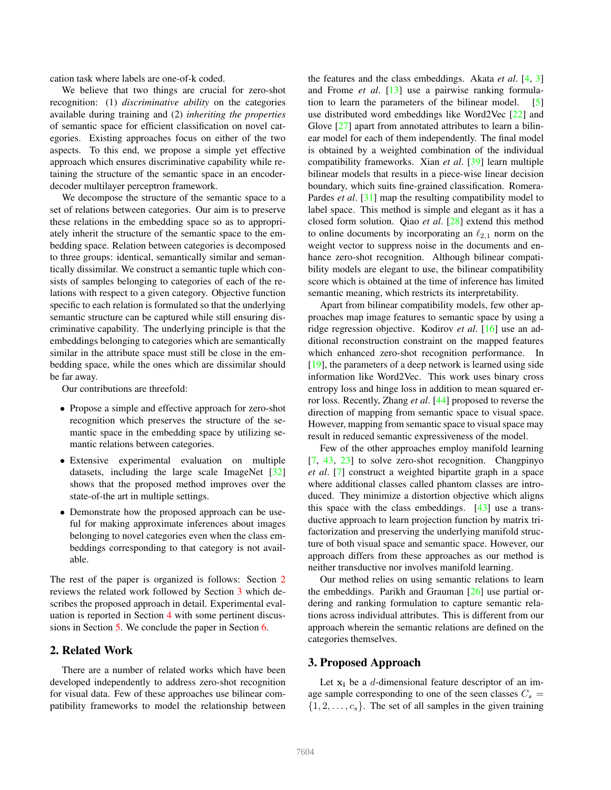cation task where labels are one-of-k coded.

We believe that two things are crucial for zero-shot recognition: (1) *discriminative ability* on the categories available during training and (2) *inheriting the properties* of semantic space for efficient classification on novel categories. Existing approaches focus on either of the two aspects. To this end, we propose a simple yet effective approach which ensures discriminative capability while retaining the structure of the semantic space in an encoderdecoder multilayer perceptron framework.

We decompose the structure of the semantic space to a set of relations between categories. Our aim is to preserve these relations in the embedding space so as to appropriately inherit the structure of the semantic space to the embedding space. Relation between categories is decomposed to three groups: identical, semantically similar and semantically dissimilar. We construct a semantic tuple which consists of samples belonging to categories of each of the relations with respect to a given category. Objective function specific to each relation is formulated so that the underlying semantic structure can be captured while still ensuring discriminative capability. The underlying principle is that the embeddings belonging to categories which are semantically similar in the attribute space must still be close in the embedding space, while the ones which are dissimilar should be far away.

Our contributions are threefold:

- Propose a simple and effective approach for zero-shot recognition which preserves the structure of the semantic space in the embedding space by utilizing semantic relations between categories.
- Extensive experimental evaluation on multiple datasets, including the large scale ImageNet [\[32\]](#page-8-18) shows that the proposed method improves over the state-of-the art in multiple settings.
- Demonstrate how the proposed approach can be useful for making approximate inferences about images belonging to novel categories even when the class embeddings corresponding to that category is not available.

The rest of the paper is organized is follows: Section [2](#page-1-0) reviews the related work followed by Section [3](#page-1-1) which describes the proposed approach in detail. Experimental evaluation is reported in Section [4](#page-4-0) with some pertinent discussions in Section [5.](#page-7-0) We conclude the paper in Section [6.](#page-7-1)

# <span id="page-1-0"></span>2. Related Work

There are a number of related works which have been developed independently to address zero-shot recognition for visual data. Few of these approaches use bilinear compatibility frameworks to model the relationship between

the features and the class embeddings. Akata *et al*. [\[4,](#page-8-11) [3\]](#page-8-2) and Frome *et al*. [\[13\]](#page-8-13) use a pairwise ranking formulation to learn the parameters of the bilinear model. [\[5\]](#page-8-19) use distributed word embeddings like Word2Vec [\[22\]](#page-8-20) and Glove [\[27\]](#page-8-21) apart from annotated attributes to learn a bilinear model for each of them independently. The final model is obtained by a weighted combination of the individual compatibility frameworks. Xian *et al*. [\[39\]](#page-8-12) learn multiple bilinear models that results in a piece-wise linear decision boundary, which suits fine-grained classification. Romera-Pardes *et al.* [\[31\]](#page-8-15) map the resulting compatibility model to label space. This method is simple and elegant as it has a closed form solution. Qiao *et al*. [\[28\]](#page-8-22) extend this method to online documents by incorporating an  $\ell_{2,1}$  norm on the weight vector to suppress noise in the documents and enhance zero-shot recognition. Although bilinear compatibility models are elegant to use, the bilinear compatibility score which is obtained at the time of inference has limited semantic meaning, which restricts its interpretability.

Apart from bilinear compatibility models, few other approaches map image features to semantic space by using a ridge regression objective. Kodirov *et al*. [\[16\]](#page-8-14) use an additional reconstruction constraint on the mapped features which enhanced zero-shot recognition performance. In [\[19\]](#page-8-23), the parameters of a deep network is learned using side information like Word2Vec. This work uses binary cross entropy loss and hinge loss in addition to mean squared error loss. Recently, Zhang *et al*. [\[44\]](#page-9-1) proposed to reverse the direction of mapping from semantic space to visual space. However, mapping from semantic space to visual space may result in reduced semantic expressiveness of the model.

Few of the other approaches employ manifold learning [\[7,](#page-8-24) [43,](#page-9-2) [23\]](#page-8-25) to solve zero-shot recognition. Changpinyo *et al*. [\[7\]](#page-8-24) construct a weighted bipartite graph in a space where additional classes called phantom classes are introduced. They minimize a distortion objective which aligns this space with the class embeddings.  $[43]$  use a transductive approach to learn projection function by matrix trifactorization and preserving the underlying manifold structure of both visual space and semantic space. However, our approach differs from these approaches as our method is neither transductive nor involves manifold learning.

Our method relies on using semantic relations to learn the embeddings. Parikh and Grauman [\[26\]](#page-8-26) use partial ordering and ranking formulation to capture semantic relations across individual attributes. This is different from our approach wherein the semantic relations are defined on the categories themselves.

# <span id="page-1-1"></span>3. Proposed Approach

Let  $x_i$  be a d-dimensional feature descriptor of an image sample corresponding to one of the seen classes  $C_s =$  $\{1, 2, \ldots, c_s\}$ . The set of all samples in the given training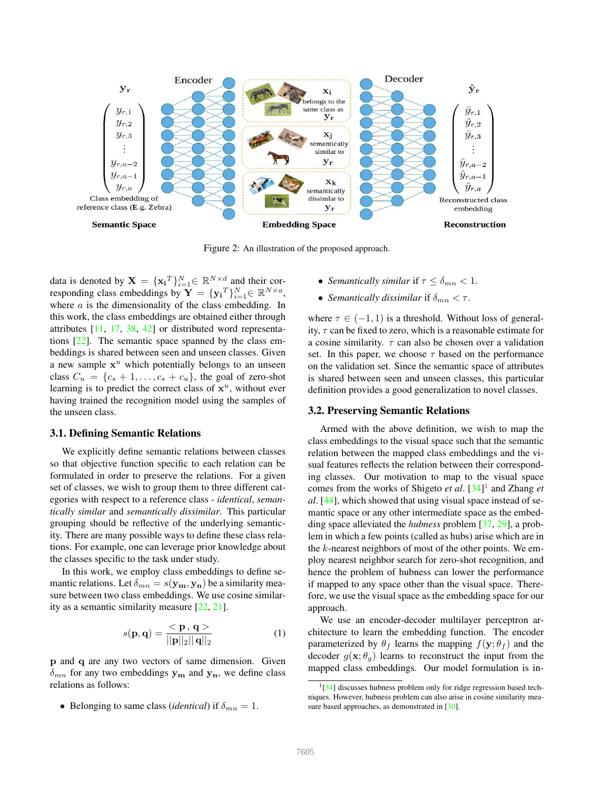

Figure 2: An illustration of the proposed approach.

data is denoted by  $\mathbf{X} = {\mathbf{x_i}^T}_{i=1}^N \in \mathbb{R}^{N \times d}$  and their corresponding class embeddings by  $\mathbf{Y} = {\{\mathbf{y_i}^T\}}_{i=1}^N \in \mathbb{R}^{N \times a}$ , where  $a$  is the dimensionality of the class embedding. In this work, the class embeddings are obtained either through attributes [\[11,](#page-8-7) [17,](#page-8-27) [38,](#page-8-28) [42\]](#page-8-29) or distributed word representations [\[22\]](#page-8-20). The semantic space spanned by the class embeddings is shared between seen and unseen classes. Given a new sample  $x^u$  which potentially belongs to an unseen class  $C_u = \{c_s + 1, \ldots, c_s + c_u\}$ , the goal of zero-shot learning is to predict the correct class of  $x^u$ , without ever having trained the recognition model using the samples of the unseen class.

#### <span id="page-2-1"></span>3.1. Defining Semantic Relations

We explicitly define semantic relations between classes so that objective function specific to each relation can be formulated in order to preserve the relations. For a given set of classes, we wish to group them to three different categories with respect to a reference class - *identical*, *semantically similar* and *semantically dissimilar*. This particular grouping should be reflective of the underlying semanticity. There are many possible ways to define these class relations. For example, one can leverage prior knowledge about the classes specific to the task under study.

In this work, we employ class embeddings to define semantic relations. Let  $\delta_{mn} = s(\mathbf{y_m}, \mathbf{y_n})$  be a similarity measure between two class embeddings. We use cosine similarity as a semantic similarity measure [\[22,](#page-8-20) [21\]](#page-8-30).

$$
s(\mathbf{p}, \mathbf{q}) = \frac{\langle \mathbf{p}, \mathbf{q} \rangle}{||\mathbf{p}||_2||\mathbf{q}||_2}
$$
 (1)

p and q are any two vectors of same dimension. Given  $\delta_{mn}$  for any two embeddings  $y_m$  and  $y_n$ , we define class relations as follows:

• Belonging to same class *(identical)* if  $\delta_{mn} = 1$ .

- *Semantically similar* if  $\tau \leq \delta_{mn} < 1$ .
- *Semantically dissimilar* if  $\delta_{mn} < \tau$ .

where  $\tau \in (-1, 1)$  is a threshold. Without loss of generality,  $\tau$  can be fixed to zero, which is a reasonable estimate for a cosine similarity.  $\tau$  can also be chosen over a validation set. In this paper, we choose  $\tau$  based on the performance on the validation set. Since the semantic space of attributes is shared between seen and unseen classes, this particular definition provides a good generalization to novel classes.

### 3.2. Preserving Semantic Relations

Armed with the above definition, we wish to map the class embeddings to the visual space such that the semantic relation between the mapped class embeddings and the visual features reflects the relation between their corresponding classes. Our motivation to map to the visual space comes from the works of Shigeto *et al*. [\[34\]](#page-8-16) [1](#page-2-0) and Zhang *et al*. [\[44\]](#page-9-1), which showed that using visual space instead of semantic space or any other intermediate space as the embedding space alleviated the *hubness* problem [\[37,](#page-8-31) [29\]](#page-8-17), a problem in which a few points (called as hubs) arise which are in the  $k$ -nearest neighbors of most of the other points. We employ nearest neighbor search for zero-shot recognition, and hence the problem of hubness can lower the performance if mapped to any space other than the visual space. Therefore, we use the visual space as the embedding space for our approach.

We use an encoder-decoder multilayer perceptron architecture to learn the embedding function. The encoder parameterized by  $\theta_f$  learns the mapping  $f(\mathbf{y}; \theta_f)$  and the decoder  $g(\mathbf{x}; \theta_g)$  learns to reconstruct the input from the mapped class embeddings. Our model formulation is in-

<span id="page-2-0"></span> $1\overline{[34]}$  $1\overline{[34]}$  $1\overline{[34]}$  discusses hubness problem only for ridge regression based techniques. However, hubness problem can also arise in cosine similarity mea-sure based approaches, as demonstrated in [\[30\]](#page-8-32).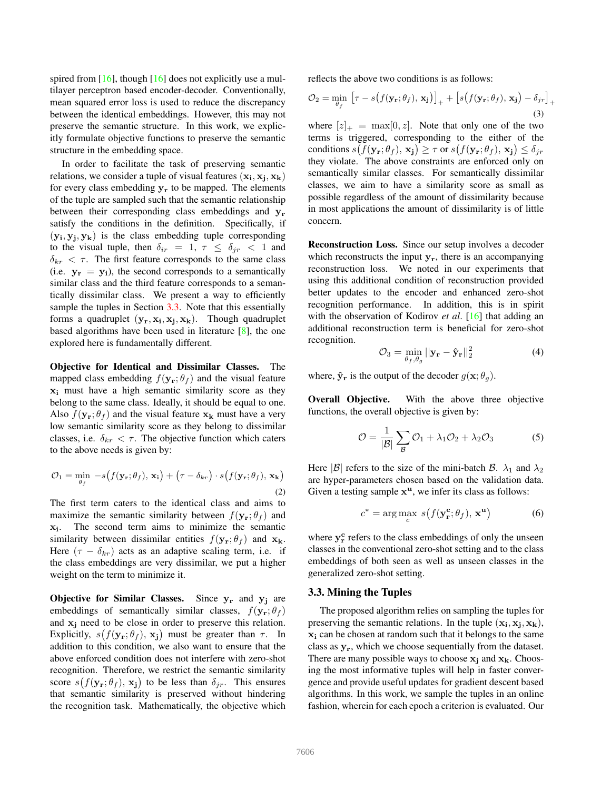spired from  $[16]$ , though  $[16]$  does not explicitly use a multilayer perceptron based encoder-decoder. Conventionally, mean squared error loss is used to reduce the discrepancy between the identical embeddings. However, this may not preserve the semantic structure. In this work, we explicitly formulate objective functions to preserve the semantic structure in the embedding space.

In order to facilitate the task of preserving semantic relations, we consider a tuple of visual features  $(x_i, x_j, x_k)$ for every class embedding  $y_r$  to be mapped. The elements of the tuple are sampled such that the semantic relationship between their corresponding class embeddings and  $y_r$ satisfy the conditions in the definition. Specifically, if  $(y_i, y_j, y_k)$  is the class embedding tuple corresponding to the visual tuple, then  $\delta_{ir} = 1, \tau \leq \delta_{ir} < 1$  and  $\delta_{kr} < \tau$ . The first feature corresponds to the same class (i.e.  $y_r = y_i$ ), the second corresponds to a semantically similar class and the third feature corresponds to a semantically dissimilar class. We present a way to efficiently sample the tuples in Section [3.3.](#page-3-0) Note that this essentially forms a quadruplet  $(\mathbf{y}_r, \mathbf{x_i}, \mathbf{x_j}, \mathbf{x_k})$ . Though quadruplet based algorithms have been used in literature [\[8\]](#page-8-33), the one explored here is fundamentally different.

Objective for Identical and Dissimilar Classes. The mapped class embedding  $f(\mathbf{y}_r; \theta_f)$  and the visual feature  $x_i$  must have a high semantic similarity score as they belong to the same class. Ideally, it should be equal to one. Also  $f(\mathbf{y}_r; \theta_f)$  and the visual feature  $\mathbf{x}_k$  must have a very low semantic similarity score as they belong to dissimilar classes, i.e.  $\delta_{kr} < \tau$ . The objective function which caters to the above needs is given by:

$$
\mathcal{O}_1 = \min_{\theta_f} -s\big(f(\mathbf{y_r}; \theta_f), \mathbf{x_i}\big) + \big(\tau - \delta_{kr}\big) \cdot s\big(f(\mathbf{y_r}; \theta_f), \mathbf{x_k}\big) \tag{2}
$$

The first term caters to the identical class and aims to maximize the semantic similarity between  $f(\mathbf{y}_r; \theta_f)$  and xi . The second term aims to minimize the semantic similarity between dissimilar entities  $f(\mathbf{y}_r; \theta_f)$  and  $\mathbf{x}_k$ . Here  $(\tau - \delta_{kr})$  acts as an adaptive scaling term, i.e. if the class embeddings are very dissimilar, we put a higher weight on the term to minimize it.

Objective for Similar Classes. Since  $y_r$  and  $y_j$  are embeddings of semantically similar classes,  $f(\mathbf{y}_r; \theta_f)$ and  $x_i$  need to be close in order to preserve this relation. Explicitly,  $s(f(\mathbf{y}_r; \theta_f), \mathbf{x}_j)$  must be greater than  $\tau$ . In addition to this condition, we also want to ensure that the above enforced condition does not interfere with zero-shot recognition. Therefore, we restrict the semantic similarity score  $s(f(\mathbf{y}_r; \theta_f), \mathbf{x}_j)$  to be less than  $\delta_{jr}$ . This ensures that semantic similarity is preserved without hindering the recognition task. Mathematically, the objective which reflects the above two conditions is as follows:

$$
\mathcal{O}_2 = \min_{\theta_f} \left[ \tau - s \big( f(\mathbf{y_r}; \theta_f), \mathbf{x_j} \big) \right]_+ + \left[ s \big( f(\mathbf{y_r}; \theta_f), \mathbf{x_j} \big) - \delta_{jr} \right]_+ \tag{3}
$$

where  $[z]_+ = \max[0, z]$ . Note that only one of the two terms is triggered, corresponding to the either of the conditions  $s(f(\mathbf{y_r}; \theta_f), \mathbf{x_j}) \geq \tau$  or  $s(f(\mathbf{y_r}; \theta_f), \mathbf{x_j}) \leq \delta_{jr}$ they violate. The above constraints are enforced only on semantically similar classes. For semantically dissimilar classes, we aim to have a similarity score as small as possible regardless of the amount of dissimilarity because in most applications the amount of dissimilarity is of little concern.

Reconstruction Loss. Since our setup involves a decoder which reconstructs the input  $y_r$ , there is an accompanying reconstruction loss. We noted in our experiments that using this additional condition of reconstruction provided better updates to the encoder and enhanced zero-shot recognition performance. In addition, this is in spirit with the observation of Kodirov *et al*. [\[16\]](#page-8-14) that adding an additional reconstruction term is beneficial for zero-shot recognition.

$$
\mathcal{O}_3 = \min_{\theta_f, \theta_g} ||\mathbf{y_r} - \mathbf{\hat{y}_r}||_2^2 \tag{4}
$$

where,  $\hat{\mathbf{y}}_r$  is the output of the decoder  $g(\mathbf{x}; \theta_a)$ .

Overall Objective. With the above three objective functions, the overall objective is given by:

$$
\mathcal{O} = \frac{1}{|\mathcal{B}|} \sum_{\mathcal{B}} \mathcal{O}_1 + \lambda_1 \mathcal{O}_2 + \lambda_2 \mathcal{O}_3 \tag{5}
$$

Here  $|\mathcal{B}|$  refers to the size of the mini-batch  $\mathcal{B}$ .  $\lambda_1$  and  $\lambda_2$ are hyper-parameters chosen based on the validation data. Given a testing sample  $x^u$ , we infer its class as follows:

$$
c^* = \arg\max_c \ s(f(\mathbf{y_r^c}; \theta_f), \mathbf{x^u})
$$
 (6)

where  $y_r^c$  refers to the class embeddings of only the unseen classes in the conventional zero-shot setting and to the class embeddings of both seen as well as unseen classes in the generalized zero-shot setting.

# <span id="page-3-0"></span>3.3. Mining the Tuples

The proposed algorithm relies on sampling the tuples for preserving the semantic relations. In the tuple  $(x_i, x_j, x_k)$ , x<sup>i</sup> can be chosen at random such that it belongs to the same class as yr, which we choose sequentially from the dataset. There are many possible ways to choose  $x_j$  and  $x_k$ . Choosing the most informative tuples will help in faster convergence and provide useful updates for gradient descent based algorithms. In this work, we sample the tuples in an online fashion, wherein for each epoch a criterion is evaluated. Our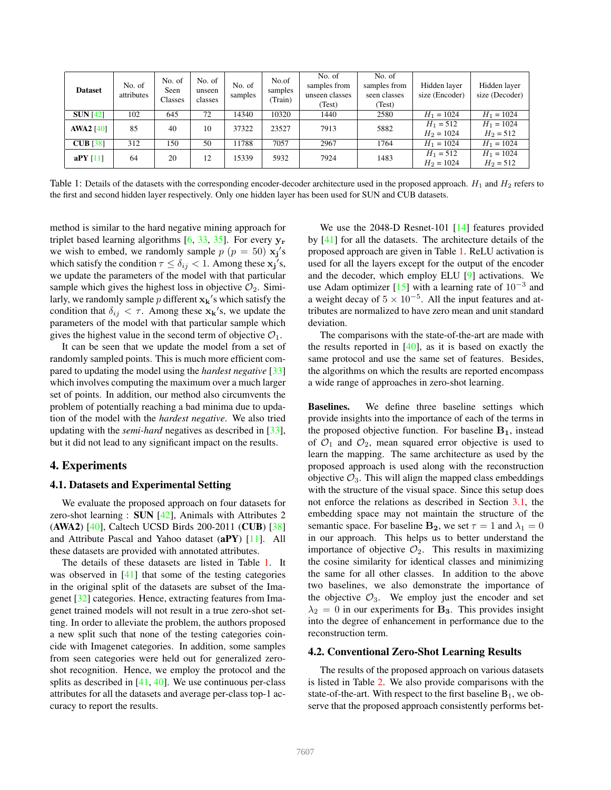<span id="page-4-1"></span>

| <b>Dataset</b>   | No. of<br>attributes | No. of<br>Seen<br>Classes | No. of<br>unseen<br>classes | No. of<br>samples | No.of<br>samples<br>Train) | No. of<br>samples from<br>unseen classes<br>(Test) | No. of<br>samples from<br>seen classes<br>(Test) | Hidden layer<br>size (Encoder) | Hidden layer<br>size (Decoder) |
|------------------|----------------------|---------------------------|-----------------------------|-------------------|----------------------------|----------------------------------------------------|--------------------------------------------------|--------------------------------|--------------------------------|
| SUN [42]         | 102                  | 645                       | 72                          | 14340             | 10320                      | 1440                                               | 2580                                             | $H_1 = 1024$                   | $H_1 = 1024$                   |
| <b>AWA2</b> [40] | 85                   | 40                        | 10                          | 37322             | 23527                      | 7913                                               | 5882                                             | $H_1 = 512$<br>$H_2 = 1024$    | $H_1 = 1024$<br>$H_2 = 512$    |
| $CUB$ [38]       | 312                  | 150                       | 50                          | 11788             | 7057                       | 2967                                               | 1764                                             | $H_1 = 1024$                   | $H_1 = 1024$                   |
| aPY $[11]$       | 64                   | 20                        | 12                          | 15339             | 5932                       | 7924                                               | 1483                                             | $H_1 = 512$<br>$H_2 = 1024$    | $H_1 = 1024$<br>$H_2 = 512$    |

Table 1: Details of the datasets with the corresponding encoder-decoder architecture used in the proposed approach.  $H_1$  and  $H_2$  refers to the first and second hidden layer respectively. Only one hidden layer has been used for SUN and CUB datasets.

method is similar to the hard negative mining approach for triplet based learning algorithms  $[6, 33, 35]$  $[6, 33, 35]$  $[6, 33, 35]$  $[6, 33, 35]$  $[6, 33, 35]$ . For every  $y_r$ we wish to embed, we randomly sample  $p (p = 50)$   $\mathbf{x_j}'s$ which satisfy the condition  $\tau \le \delta_{ij} < 1$ . Among these  $\mathbf{x_j}'s$ , we update the parameters of the model with that particular sample which gives the highest loss in objective  $\mathcal{O}_2$ . Similarly, we randomly sample p different  $\mathbf{x_k}'$ 's which satisfy the condition that  $\delta_{ij} < \tau$ . Among these  $\mathbf{x_k}'$ 's, we update the parameters of the model with that particular sample which gives the highest value in the second term of objective  $\mathcal{O}_1$ .

It can be seen that we update the model from a set of randomly sampled points. This is much more efficient compared to updating the model using the *hardest negative* [\[33\]](#page-8-35) which involves computing the maximum over a much larger set of points. In addition, our method also circumvents the problem of potentially reaching a bad minima due to updation of the model with the *hardest negative*. We also tried updating with the *semi-hard* negatives as described in [\[33\]](#page-8-35), but it did not lead to any significant impact on the results.

# <span id="page-4-0"></span>4. Experiments

#### 4.1. Datasets and Experimental Setting

We evaluate the proposed approach on four datasets for zero-shot learning : SUN [\[42\]](#page-8-29), Animals with Attributes 2 (AWA2) [\[40\]](#page-8-10), Caltech UCSD Birds 200-2011 (CUB) [\[38\]](#page-8-28) and Attribute Pascal and Yahoo dataset (aPY) [\[11\]](#page-8-7). All these datasets are provided with annotated attributes.

The details of these datasets are listed in Table [1.](#page-4-1) It was observed in [\[41\]](#page-8-37) that some of the testing categories in the original split of the datasets are subset of the Imagenet [\[32\]](#page-8-18) categories. Hence, extracting features from Imagenet trained models will not result in a true zero-shot setting. In order to alleviate the problem, the authors proposed a new split such that none of the testing categories coincide with Imagenet categories. In addition, some samples from seen categories were held out for generalized zeroshot recognition. Hence, we employ the protocol and the splits as described in [\[41,](#page-8-37) [40\]](#page-8-10). We use continuous per-class attributes for all the datasets and average per-class top-1 accuracy to report the results.

We use the 2048-D Resnet-101 [\[14\]](#page-8-38) features provided by [\[41\]](#page-8-37) for all the datasets. The architecture details of the proposed approach are given in Table [1.](#page-4-1) ReLU activation is used for all the layers except for the output of the encoder and the decoder, which employ ELU [\[9\]](#page-8-39) activations. We use Adam optimizer [\[15\]](#page-8-40) with a learning rate of  $10^{-3}$  and a weight decay of  $5 \times 10^{-5}$ . All the input features and attributes are normalized to have zero mean and unit standard deviation.

The comparisons with the state-of-the-art are made with the results reported in  $[40]$ , as it is based on exactly the same protocol and use the same set of features. Besides, the algorithms on which the results are reported encompass a wide range of approaches in zero-shot learning.

Baselines. We define three baseline settings which provide insights into the importance of each of the terms in the proposed objective function. For baseline  $B_1$ , instead of  $\mathcal{O}_1$  and  $\mathcal{O}_2$ , mean squared error objective is used to learn the mapping. The same architecture as used by the proposed approach is used along with the reconstruction objective  $\mathcal{O}_3$ . This will align the mapped class embeddings with the structure of the visual space. Since this setup does not enforce the relations as described in Section [3.1,](#page-2-1) the embedding space may not maintain the structure of the semantic space. For baseline  $\mathbf{B_2}$ , we set  $\tau = 1$  and  $\lambda_1 = 0$ in our approach. This helps us to better understand the importance of objective  $\mathcal{O}_2$ . This results in maximizing the cosine similarity for identical classes and minimizing the same for all other classes. In addition to the above two baselines, we also demonstrate the importance of the objective  $\mathcal{O}_3$ . We employ just the encoder and set  $\lambda_2 = 0$  in our experiments for **B<sub>3</sub>**. This provides insight into the degree of enhancement in performance due to the reconstruction term.

#### 4.2. Conventional Zero-Shot Learning Results

The results of the proposed approach on various datasets is listed in Table [2.](#page-5-0) We also provide comparisons with the state-of-the-art. With respect to the first baseline  $B_1$ , we observe that the proposed approach consistently performs bet-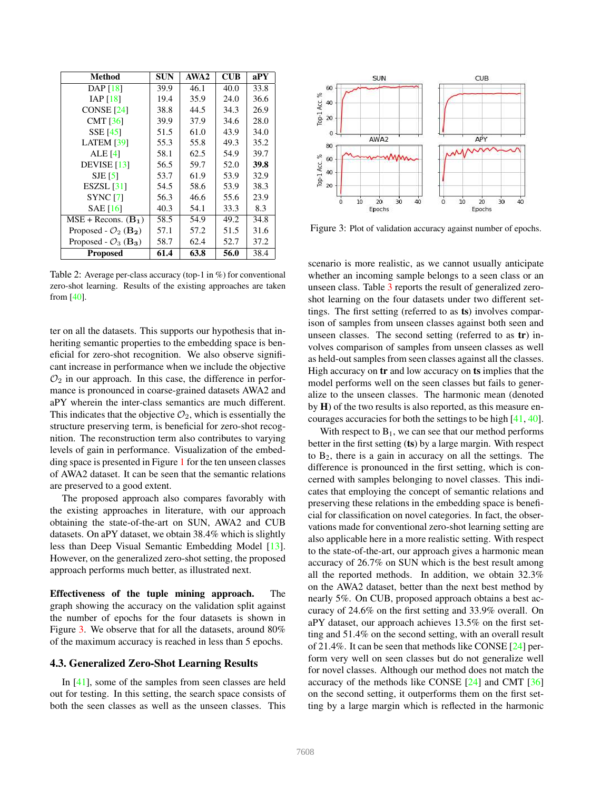<span id="page-5-0"></span>

| Method                                       | <b>SUN</b> | AWA <sub>2</sub> | <b>CUB</b> | aPY  |
|----------------------------------------------|------------|------------------|------------|------|
| DAP [18]                                     | 39.9       | 46.1             | 40.0       | 33.8 |
| IAP $[18]$                                   | 19.4       | 35.9             | 24.0       | 36.6 |
| <b>CONSE</b> [24]                            | 38.8       | 44.5             | 34.3       | 26.9 |
| <b>CMT</b> [36]                              | 39.9       | 37.9             | 34.6       | 28.0 |
| <b>SSE</b> [45]                              | 51.5       | 61.0             | 43.9       | 34.0 |
| <b>LATEM</b> [39]                            | 55.3       | 55.8             | 49.3       | 35.2 |
| <b>ALE</b> [4]                               | 58.1       | 62.5             | 54.9       | 39.7 |
| DEVISE $[13]$                                | 56.5       | 59.7             | 52.0       | 39.8 |
| $SJE$ [5]                                    | 53.7       | 61.9             | 53.9       | 32.9 |
| $ESZSL$ [31]                                 | 54.5       | 58.6             | 53.9       | 38.3 |
| <b>SYNC</b> [7]                              | 56.3       | 46.6             | 55.6       | 23.9 |
| <b>SAE</b> [16]                              | 40.3       | 54.1             | 33.3       | 8.3  |
| $MSE + \text{Recons.} (\mathbf{B}_1)$        | 58.5       | 54.9             | 49.2       | 34.8 |
| Proposed - $\mathcal{O}_2$ (B <sub>2</sub> ) | 57.1       | 57.2             | 51.5       | 31.6 |
| Proposed - $\mathcal{O}_3$ (B <sub>3</sub> ) | 58.7       | 62.4             | 52.7       | 37.2 |
| <b>Proposed</b>                              | 61.4       | 63.8             | 56.0       | 38.4 |

Table 2: Average per-class accuracy (top-1 in %) for conventional zero-shot learning. Results of the existing approaches are taken from [\[40\]](#page-8-10).

ter on all the datasets. This supports our hypothesis that inheriting semantic properties to the embedding space is beneficial for zero-shot recognition. We also observe significant increase in performance when we include the objective  $\mathcal{O}_2$  in our approach. In this case, the difference in performance is pronounced in coarse-grained datasets AWA2 and aPY wherein the inter-class semantics are much different. This indicates that the objective  $\mathcal{O}_2$ , which is essentially the structure preserving term, is beneficial for zero-shot recognition. The reconstruction term also contributes to varying levels of gain in performance. Visualization of the embedding space is presented in Figure [1](#page-0-0) for the ten unseen classes of AWA2 dataset. It can be seen that the semantic relations are preserved to a good extent.

The proposed approach also compares favorably with the existing approaches in literature, with our approach obtaining the state-of-the-art on SUN, AWA2 and CUB datasets. On aPY dataset, we obtain 38.4% which is slightly less than Deep Visual Semantic Embedding Model [\[13\]](#page-8-13). However, on the generalized zero-shot setting, the proposed approach performs much better, as illustrated next.

Effectiveness of the tuple mining approach. The graph showing the accuracy on the validation split against the number of epochs for the four datasets is shown in Figure [3.](#page-5-1) We observe that for all the datasets, around 80% of the maximum accuracy is reached in less than 5 epochs.

# 4.3. Generalized Zero-Shot Learning Results

In [\[41\]](#page-8-37), some of the samples from seen classes are held out for testing. In this setting, the search space consists of both the seen classes as well as the unseen classes. This

<span id="page-5-1"></span>

Figure 3: Plot of validation accuracy against number of epochs.

scenario is more realistic, as we cannot usually anticipate whether an incoming sample belongs to a seen class or an unseen class. Table [3](#page-6-0) reports the result of generalized zeroshot learning on the four datasets under two different settings. The first setting (referred to as ts) involves comparison of samples from unseen classes against both seen and unseen classes. The second setting (referred to as tr) involves comparison of samples from unseen classes as well as held-out samples from seen classes against all the classes. High accuracy on tr and low accuracy on ts implies that the model performs well on the seen classes but fails to generalize to the unseen classes. The harmonic mean (denoted by H) of the two results is also reported, as this measure encourages accuracies for both the settings to be high [\[41,](#page-8-37) [40\]](#page-8-10).

With respect to  $B_1$ , we can see that our method performs better in the first setting (ts) by a large margin. With respect to B2, there is a gain in accuracy on all the settings. The difference is pronounced in the first setting, which is concerned with samples belonging to novel classes. This indicates that employing the concept of semantic relations and preserving these relations in the embedding space is beneficial for classification on novel categories. In fact, the observations made for conventional zero-shot learning setting are also applicable here in a more realistic setting. With respect to the state-of-the-art, our approach gives a harmonic mean accuracy of 26.7% on SUN which is the best result among all the reported methods. In addition, we obtain 32.3% on the AWA2 dataset, better than the next best method by nearly 5%. On CUB, proposed approach obtains a best accuracy of 24.6% on the first setting and 33.9% overall. On aPY dataset, our approach achieves 13.5% on the first setting and 51.4% on the second setting, with an overall result of 21.4%. It can be seen that methods like CONSE [\[24\]](#page-8-3) perform very well on seen classes but do not generalize well for novel classes. Although our method does not match the accuracy of the methods like CONSE [\[24\]](#page-8-3) and CMT [\[36\]](#page-8-4) on the second setting, it outperforms them on the first setting by a large margin which is reflected in the harmonic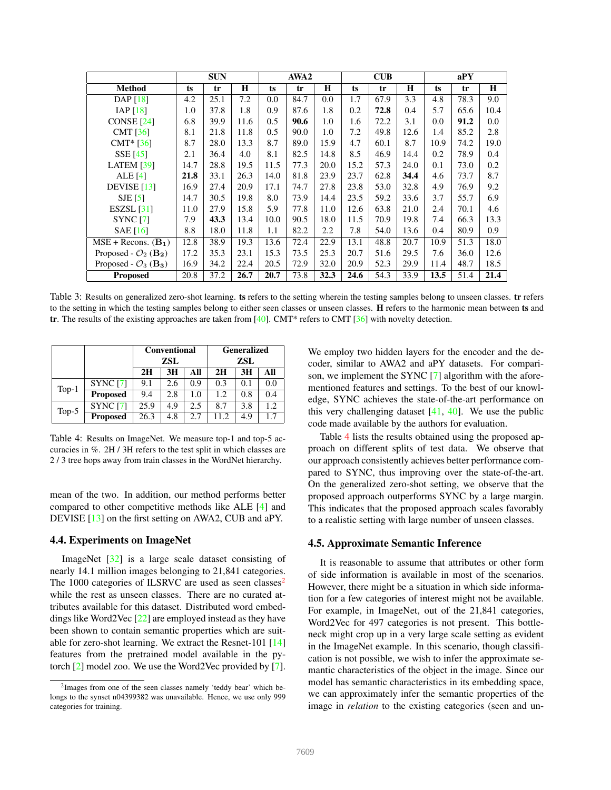<span id="page-6-0"></span>

|                                              | <b>SUN</b> |      | AWA2 |      |      | $\mathbf{C} \mathbf{U} \mathbf{B}$ |      |      | aPY  |      |      |      |
|----------------------------------------------|------------|------|------|------|------|------------------------------------|------|------|------|------|------|------|
| <b>Method</b>                                | ts         | tr   | H    | ts   | tr   | $\bf H$                            | ts   | tr   | H    | ts   | tr   | H    |
| DAP $[18]$                                   | 4.2        | 25.1 | 7.2  | 0.0  | 84.7 | 0.0                                | 1.7  | 67.9 | 3.3  | 4.8  | 78.3 | 9.0  |
| IAP $[18]$                                   | 1.0        | 37.8 | 1.8  | 0.9  | 87.6 | 1.8                                | 0.2  | 72.8 | 0.4  | 5.7  | 65.6 | 10.4 |
| CONSE <sup>[24]</sup>                        | 6.8        | 39.9 | 11.6 | 0.5  | 90.6 | 1.0                                | 1.6  | 72.2 | 3.1  | 0.0  | 91.2 | 0.0  |
| CMT $[36]$                                   | 8.1        | 21.8 | 11.8 | 0.5  | 90.0 | 1.0                                | 7.2  | 49.8 | 12.6 | 1.4  | 85.2 | 2.8  |
| $CMT* [36]$                                  | 8.7        | 28.0 | 13.3 | 8.7  | 89.0 | 15.9                               | 4.7  | 60.1 | 8.7  | 10.9 | 74.2 | 19.0 |
| SSE [45]                                     | 2.1        | 36.4 | 4.0  | 8.1  | 82.5 | 14.8                               | 8.5  | 46.9 | 14.4 | 0.2  | 78.9 | 0.4  |
| <b>LATEM</b> [39]                            | 14.7       | 28.8 | 19.5 | 11.5 | 77.3 | 20.0                               | 15.2 | 57.3 | 24.0 | 0.1  | 73.0 | 0.2  |
| ALE $[4]$                                    | 21.8       | 33.1 | 26.3 | 14.0 | 81.8 | 23.9                               | 23.7 | 62.8 | 34.4 | 4.6  | 73.7 | 8.7  |
| DEVISE $[13]$                                | 16.9       | 27.4 | 20.9 | 17.1 | 74.7 | 27.8                               | 23.8 | 53.0 | 32.8 | 4.9  | 76.9 | 9.2  |
| $SJE$ [5]                                    | 14.7       | 30.5 | 19.8 | 8.0  | 73.9 | 14.4                               | 23.5 | 59.2 | 33.6 | 3.7  | 55.7 | 6.9  |
| ESZSL $[31]$                                 | 11.0       | 27.9 | 15.8 | 5.9  | 77.8 | 11.0                               | 12.6 | 63.8 | 21.0 | 2.4  | 70.1 | 4.6  |
| <b>SYNC</b> [7]                              | 7.9        | 43.3 | 13.4 | 10.0 | 90.5 | 18.0                               | 11.5 | 70.9 | 19.8 | 7.4  | 66.3 | 13.3 |
| SAE $[16]$                                   | 8.8        | 18.0 | 11.8 | 1.1  | 82.2 | 2.2                                | 7.8  | 54.0 | 13.6 | 0.4  | 80.9 | 0.9  |
| $MSE + Records. (B1)$                        | 12.8       | 38.9 | 19.3 | 13.6 | 72.4 | 22.9                               | 13.1 | 48.8 | 20.7 | 10.9 | 51.3 | 18.0 |
| Proposed - $\mathcal{O}_2$ (B <sub>2</sub> ) | 17.2       | 35.3 | 23.1 | 15.3 | 73.5 | 25.3                               | 20.7 | 51.6 | 29.5 | 7.6  | 36.0 | 12.6 |
| Proposed - $\mathcal{O}_3$ (B <sub>3</sub> ) | 16.9       | 34.2 | 22.4 | 20.5 | 72.9 | 32.0                               | 20.9 | 52.3 | 29.9 | 11.4 | 48.7 | 18.5 |
| <b>Proposed</b>                              | 20.8       | 37.2 | 26.7 | 20.7 | 73.8 | 32.3                               | 24.6 | 54.3 | 33.9 | 13.5 | 51.4 | 21.4 |

Table 3: Results on generalized zero-shot learning. ts refers to the setting wherein the testing samples belong to unseen classes. tr refers to the setting in which the testing samples belong to either seen classes or unseen classes. H refers to the harmonic mean between ts and tr. The results of the existing approaches are taken from [\[40\]](#page-8-10). CMT\* refers to CMT [\[36\]](#page-8-4) with novelty detection.

<span id="page-6-2"></span>

|          |                 |      | <b>Conventional</b> |     | Generalized |     |      |  |
|----------|-----------------|------|---------------------|-----|-------------|-----|------|--|
|          |                 |      | <b>ZSL</b>          |     | ZSL         |     |      |  |
|          |                 | 2H   | 3H                  | All | 2H          | 3H  | All  |  |
| $Top-1$  | <b>SYNC [7]</b> | 9.1  | 2.6                 | 0.9 | 0.3         | 0.1 | 0.0  |  |
|          | <b>Proposed</b> | 9.4  | 2.8                 | 1.0 | 1.2.        | 0.8 | 0.4  |  |
| Top- $5$ | <b>SYNC</b> [7] | 25.9 | 4.9                 | 2.5 | 8.7         | 3.8 | 1.2. |  |
|          | <b>Proposed</b> | 26.3 | 4.8                 | 2.7 | 11.2        | 4.9 | 1.1  |  |

Table 4: Results on ImageNet. We measure top-1 and top-5 accuracies in %. 2H / 3H refers to the test split in which classes are 2 / 3 tree hops away from train classes in the WordNet hierarchy.

mean of the two. In addition, our method performs better compared to other competitive methods like ALE [\[4\]](#page-8-11) and DEVISE [\[13\]](#page-8-13) on the first setting on AWA2, CUB and aPY.

#### 4.4. Experiments on ImageNet

ImageNet [\[32\]](#page-8-18) is a large scale dataset consisting of nearly 14.1 million images belonging to 21,841 categories. The 1000 categories of ILSRVC are used as seen classes<sup>[2](#page-6-1)</sup> while the rest as unseen classes. There are no curated attributes available for this dataset. Distributed word embeddings like Word2Vec [\[22\]](#page-8-20) are employed instead as they have been shown to contain semantic properties which are suitable for zero-shot learning. We extract the Resnet-101 [\[14\]](#page-8-38) features from the pretrained model available in the pytorch [\[2\]](#page-8-41) model zoo. We use the Word2Vec provided by [\[7\]](#page-8-24).

We employ two hidden layers for the encoder and the decoder, similar to AWA2 and aPY datasets. For comparison, we implement the SYNC [\[7\]](#page-8-24) algorithm with the aforementioned features and settings. To the best of our knowledge, SYNC achieves the state-of-the-art performance on this very challenging dataset  $[41, 40]$  $[41, 40]$  $[41, 40]$ . We use the public code made available by the authors for evaluation.

Table [4](#page-6-2) lists the results obtained using the proposed approach on different splits of test data. We observe that our approach consistently achieves better performance compared to SYNC, thus improving over the state-of-the-art. On the generalized zero-shot setting, we observe that the proposed approach outperforms SYNC by a large margin. This indicates that the proposed approach scales favorably to a realistic setting with large number of unseen classes.

# 4.5. Approximate Semantic Inference

It is reasonable to assume that attributes or other form of side information is available in most of the scenarios. However, there might be a situation in which side information for a few categories of interest might not be available. For example, in ImageNet, out of the 21,841 categories, Word2Vec for 497 categories is not present. This bottleneck might crop up in a very large scale setting as evident in the ImageNet example. In this scenario, though classification is not possible, we wish to infer the approximate semantic characteristics of the object in the image. Since our model has semantic characteristics in its embedding space, we can approximately infer the semantic properties of the image in *relation* to the existing categories (seen and un-

<span id="page-6-1"></span><sup>&</sup>lt;sup>2</sup>Images from one of the seen classes namely 'teddy bear' which belongs to the synset n04399382 was unavailable. Hence, we use only 999 categories for training.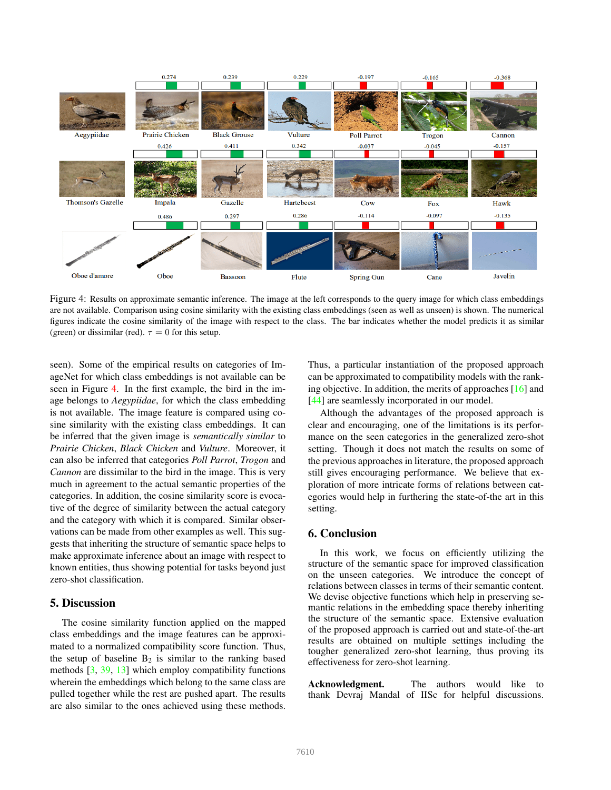<span id="page-7-2"></span>

Figure 4: Results on approximate semantic inference. The image at the left corresponds to the query image for which class embeddings are not available. Comparison using cosine similarity with the existing class embeddings (seen as well as unseen) is shown. The numerical figures indicate the cosine similarity of the image with respect to the class. The bar indicates whether the model predicts it as similar (green) or dissimilar (red).  $\tau = 0$  for this setup.

seen). Some of the empirical results on categories of ImageNet for which class embeddings is not available can be seen in Figure [4.](#page-7-2) In the first example, the bird in the image belongs to *Aegypiidae*, for which the class embedding is not available. The image feature is compared using cosine similarity with the existing class embeddings. It can be inferred that the given image is *semantically similar* to *Prairie Chicken*, *Black Chicken* and *Vulture*. Moreover, it can also be inferred that categories *Poll Parrot*, *Trogon* and *Cannon* are dissimilar to the bird in the image. This is very much in agreement to the actual semantic properties of the categories. In addition, the cosine similarity score is evocative of the degree of similarity between the actual category and the category with which it is compared. Similar observations can be made from other examples as well. This suggests that inheriting the structure of semantic space helps to make approximate inference about an image with respect to known entities, thus showing potential for tasks beyond just zero-shot classification.

# <span id="page-7-0"></span>5. Discussion

The cosine similarity function applied on the mapped class embeddings and the image features can be approximated to a normalized compatibility score function. Thus, the setup of baseline  $B_2$  is similar to the ranking based methods  $[3, 39, 13]$  $[3, 39, 13]$  $[3, 39, 13]$  $[3, 39, 13]$  which employ compatibility functions wherein the embeddings which belong to the same class are pulled together while the rest are pushed apart. The results are also similar to the ones achieved using these methods.

Thus, a particular instantiation of the proposed approach can be approximated to compatibility models with the ranking objective. In addition, the merits of approaches [\[16\]](#page-8-14) and [\[44\]](#page-9-1) are seamlessly incorporated in our model.

Although the advantages of the proposed approach is clear and encouraging, one of the limitations is its performance on the seen categories in the generalized zero-shot setting. Though it does not match the results on some of the previous approaches in literature, the proposed approach still gives encouraging performance. We believe that exploration of more intricate forms of relations between categories would help in furthering the state-of-the art in this setting.

### <span id="page-7-1"></span>6. Conclusion

In this work, we focus on efficiently utilizing the structure of the semantic space for improved classification on the unseen categories. We introduce the concept of relations between classes in terms of their semantic content. We devise objective functions which help in preserving semantic relations in the embedding space thereby inheriting the structure of the semantic space. Extensive evaluation of the proposed approach is carried out and state-of-the-art results are obtained on multiple settings including the tougher generalized zero-shot learning, thus proving its effectiveness for zero-shot learning.

Acknowledgment. The authors would like to thank Devraj Mandal of IISc for helpful discussions.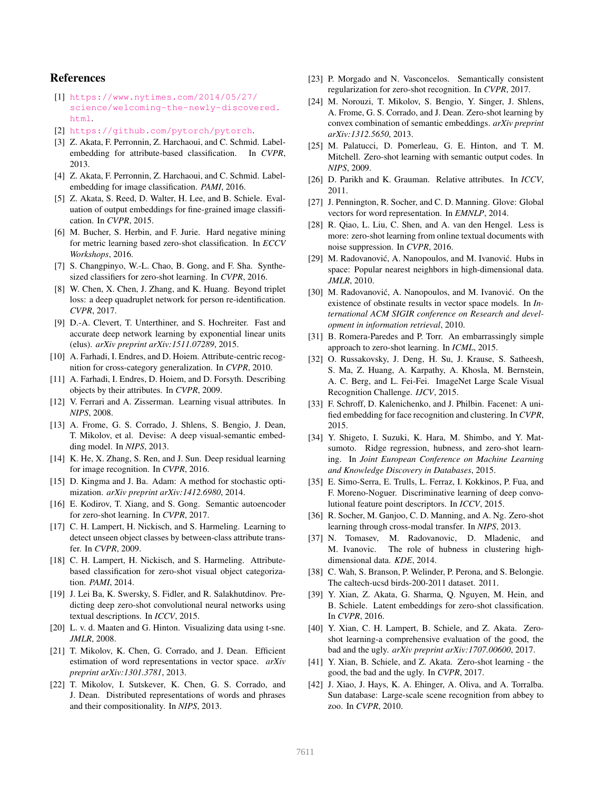# References

- <span id="page-8-0"></span>[1] [https://www.nytimes.com/2014/05/27/](https://www.nytimes.com/2014/05/27/science/welcoming-the-newly-discovered.html) [science/welcoming-the-newly-discovered.](https://www.nytimes.com/2014/05/27/science/welcoming-the-newly-discovered.html) [html](https://www.nytimes.com/2014/05/27/science/welcoming-the-newly-discovered.html).
- <span id="page-8-41"></span>[2] <https://github.com/pytorch/pytorch>.
- <span id="page-8-2"></span>[3] Z. Akata, F. Perronnin, Z. Harchaoui, and C. Schmid. Labelembedding for attribute-based classification. In *CVPR*, 2013.
- <span id="page-8-11"></span>[4] Z. Akata, F. Perronnin, Z. Harchaoui, and C. Schmid. Labelembedding for image classification. *PAMI*, 2016.
- <span id="page-8-19"></span>[5] Z. Akata, S. Reed, D. Walter, H. Lee, and B. Schiele. Evaluation of output embeddings for fine-grained image classification. In *CVPR*, 2015.
- <span id="page-8-34"></span>[6] M. Bucher, S. Herbin, and F. Jurie. Hard negative mining for metric learning based zero-shot classification. In *ECCV Workshops*, 2016.
- <span id="page-8-24"></span>[7] S. Changpinyo, W.-L. Chao, B. Gong, and F. Sha. Synthesized classifiers for zero-shot learning. In *CVPR*, 2016.
- <span id="page-8-33"></span>[8] W. Chen, X. Chen, J. Zhang, and K. Huang. Beyond triplet loss: a deep quadruplet network for person re-identification. *CVPR*, 2017.
- <span id="page-8-39"></span>[9] D.-A. Clevert, T. Unterthiner, and S. Hochreiter. Fast and accurate deep network learning by exponential linear units (elus). *arXiv preprint arXiv:1511.07289*, 2015.
- <span id="page-8-8"></span>[10] A. Farhadi, I. Endres, and D. Hoiem. Attribute-centric recognition for cross-category generalization. In *CVPR*, 2010.
- <span id="page-8-7"></span>[11] A. Farhadi, I. Endres, D. Hoiem, and D. Forsyth. Describing objects by their attributes. In *CVPR*, 2009.
- <span id="page-8-6"></span>[12] V. Ferrari and A. Zisserman. Learning visual attributes. In *NIPS*, 2008.
- <span id="page-8-13"></span>[13] A. Frome, G. S. Corrado, J. Shlens, S. Bengio, J. Dean, T. Mikolov, et al. Devise: A deep visual-semantic embedding model. In *NIPS*, 2013.
- <span id="page-8-38"></span>[14] K. He, X. Zhang, S. Ren, and J. Sun. Deep residual learning for image recognition. In *CVPR*, 2016.
- <span id="page-8-40"></span>[15] D. Kingma and J. Ba. Adam: A method for stochastic optimization. *arXiv preprint arXiv:1412.6980*, 2014.
- <span id="page-8-14"></span>[16] E. Kodirov, T. Xiang, and S. Gong. Semantic autoencoder for zero-shot learning. In *CVPR*, 2017.
- <span id="page-8-27"></span>[17] C. H. Lampert, H. Nickisch, and S. Harmeling. Learning to detect unseen object classes by between-class attribute transfer. In *CVPR*, 2009.
- <span id="page-8-5"></span>[18] C. H. Lampert, H. Nickisch, and S. Harmeling. Attributebased classification for zero-shot visual object categorization. *PAMI*, 2014.
- <span id="page-8-23"></span>[19] J. Lei Ba, K. Swersky, S. Fidler, and R. Salakhutdinov. Predicting deep zero-shot convolutional neural networks using textual descriptions. In *ICCV*, 2015.
- <span id="page-8-9"></span>[20] L. v. d. Maaten and G. Hinton. Visualizing data using t-sne. *JMLR*, 2008.
- <span id="page-8-30"></span>[21] T. Mikolov, K. Chen, G. Corrado, and J. Dean. Efficient estimation of word representations in vector space. *arXiv preprint arXiv:1301.3781*, 2013.
- <span id="page-8-20"></span>[22] T. Mikolov, I. Sutskever, K. Chen, G. S. Corrado, and J. Dean. Distributed representations of words and phrases and their compositionality. In *NIPS*, 2013.
- <span id="page-8-25"></span>[23] P. Morgado and N. Vasconcelos. Semantically consistent regularization for zero-shot recognition. In *CVPR*, 2017.
- <span id="page-8-3"></span>[24] M. Norouzi, T. Mikolov, S. Bengio, Y. Singer, J. Shlens, A. Frome, G. S. Corrado, and J. Dean. Zero-shot learning by convex combination of semantic embeddings. *arXiv preprint arXiv:1312.5650*, 2013.
- <span id="page-8-1"></span>[25] M. Palatucci, D. Pomerleau, G. E. Hinton, and T. M. Mitchell. Zero-shot learning with semantic output codes. In *NIPS*, 2009.
- <span id="page-8-26"></span>[26] D. Parikh and K. Grauman. Relative attributes. In *ICCV*, 2011.
- <span id="page-8-21"></span>[27] J. Pennington, R. Socher, and C. D. Manning. Glove: Global vectors for word representation. In *EMNLP*, 2014.
- <span id="page-8-22"></span>[28] R. Qiao, L. Liu, C. Shen, and A. van den Hengel. Less is more: zero-shot learning from online textual documents with noise suppression. In *CVPR*, 2016.
- <span id="page-8-17"></span>[29] M. Radovanović, A. Nanopoulos, and M. Ivanović. Hubs in space: Popular nearest neighbors in high-dimensional data. *JMLR*, 2010.
- <span id="page-8-32"></span>[30] M. Radovanović, A. Nanopoulos, and M. Ivanović. On the existence of obstinate results in vector space models. In *International ACM SIGIR conference on Research and development in information retrieval*, 2010.
- <span id="page-8-15"></span>[31] B. Romera-Paredes and P. Torr. An embarrassingly simple approach to zero-shot learning. In *ICML*, 2015.
- <span id="page-8-18"></span>[32] O. Russakovsky, J. Deng, H. Su, J. Krause, S. Satheesh, S. Ma, Z. Huang, A. Karpathy, A. Khosla, M. Bernstein, A. C. Berg, and L. Fei-Fei. ImageNet Large Scale Visual Recognition Challenge. *IJCV*, 2015.
- <span id="page-8-35"></span>[33] F. Schroff, D. Kalenichenko, and J. Philbin. Facenet: A unified embedding for face recognition and clustering. In *CVPR*, 2015.
- <span id="page-8-16"></span>[34] Y. Shigeto, I. Suzuki, K. Hara, M. Shimbo, and Y. Matsumoto. Ridge regression, hubness, and zero-shot learning. In *Joint European Conference on Machine Learning and Knowledge Discovery in Databases*, 2015.
- <span id="page-8-36"></span>[35] E. Simo-Serra, E. Trulls, L. Ferraz, I. Kokkinos, P. Fua, and F. Moreno-Noguer. Discriminative learning of deep convolutional feature point descriptors. In *ICCV*, 2015.
- <span id="page-8-4"></span>[36] R. Socher, M. Ganjoo, C. D. Manning, and A. Ng. Zero-shot learning through cross-modal transfer. In *NIPS*, 2013.
- <span id="page-8-31"></span>[37] N. Tomasev, M. Radovanovic, D. Mladenic, and M. Ivanovic. The role of hubness in clustering highdimensional data. *KDE*, 2014.
- <span id="page-8-28"></span>[38] C. Wah, S. Branson, P. Welinder, P. Perona, and S. Belongie. The caltech-ucsd birds-200-2011 dataset. 2011.
- <span id="page-8-12"></span>[39] Y. Xian, Z. Akata, G. Sharma, Q. Nguyen, M. Hein, and B. Schiele. Latent embeddings for zero-shot classification. In *CVPR*, 2016.
- <span id="page-8-10"></span>[40] Y. Xian, C. H. Lampert, B. Schiele, and Z. Akata. Zeroshot learning-a comprehensive evaluation of the good, the bad and the ugly. *arXiv preprint arXiv:1707.00600*, 2017.
- <span id="page-8-37"></span>[41] Y. Xian, B. Schiele, and Z. Akata. Zero-shot learning - the good, the bad and the ugly. In *CVPR*, 2017.
- <span id="page-8-29"></span>[42] J. Xiao, J. Hays, K. A. Ehinger, A. Oliva, and A. Torralba. Sun database: Large-scale scene recognition from abbey to zoo. In *CVPR*, 2010.